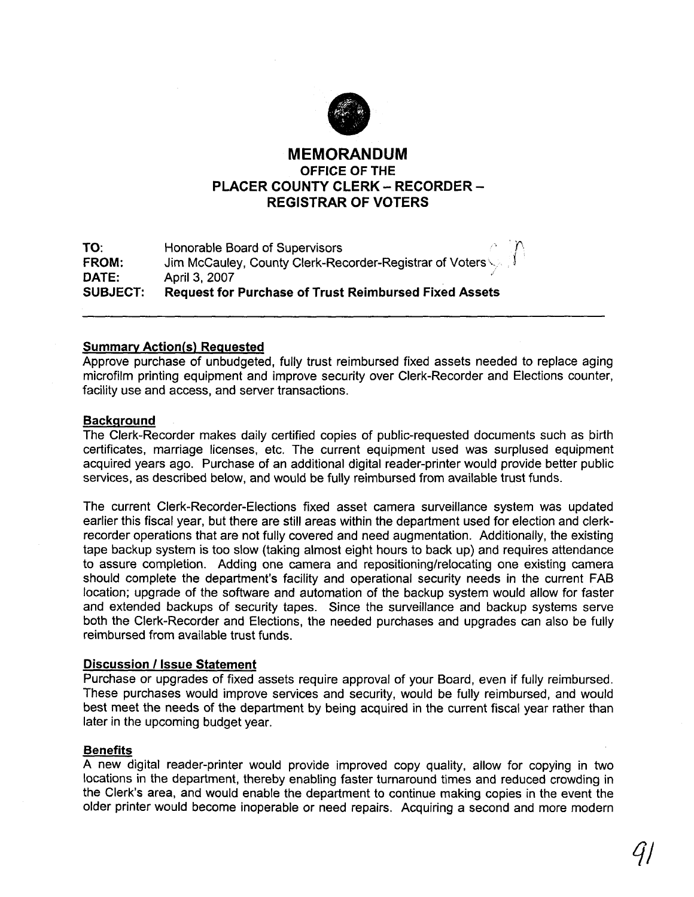

# **MEMORANDUM OFFICE OF THE PLACER COUNTY CLERK - RECORDER -REGISTRAR OF VOTERS**

| TO:             | $\sim$ $\sim$ $\sim$<br>Honorable Board of Supervisors       |
|-----------------|--------------------------------------------------------------|
| FROM:           | Jim McCauley, County Clerk-Recorder-Registrar of Voters      |
| DATE:           | April 3, 2007                                                |
| <b>SUBJECT:</b> | <b>Request for Purchase of Trust Reimbursed Fixed Assets</b> |

## **Summary Action(s) Requested**

Approve purchase of unbudgeted, fully trust reimbursed fixed assets needed to replace aging microfilm printing equipment and improve security over Clerk-Recorder and Elections counter, facility use and access, and server transactions.

### **Backqround**

The Clerk-Recorder makes daily certified copies of public-requested documents such as birth certificates, marriage licenses, etc. The current equipment used was surplused equipment acquired years ago. Purchase of an additional digital reader-printer would provide better public services, as described below, and would be fully reimbursed from available trust funds.

The current Clerk-Recorder-Elections fixed asset camera surveillance system was updated earlier this fiscal year, but there are still areas within the department used for election and clerkrecorder operations that are not fully covered and need augmentation. Additionally, the existing tape backup system is too slow (taking almost eight hours to back up) and requires attendance to assure completion. Adding one camera and repositioning/relocating one existing camera should complete the department's facility and operational security needs in the current FAB location; upgrade of the software and automation of the backup system would allow for faster and extended backups of security tapes. Since the surveillance and backup systems serve both the Clerk-Recorder and Elections, the needed purchases and upgrades can also be fully reimbursed from available trust funds.

### **Discussion 1 Issue Statement**

Purchase or upgrades of fixed assets require approval of your Board, even if fully reimbursed. These purchases would improve services and security, would be fully reimbursed, and would best meet the needs of the department by being acquired in the current fiscal year rather than later in the upcoming budget year.

#### **Benefits**

A new digital reader-printer would provide improved copy quality, allow for copying in two locations in the department, thereby enabling faster turnaround times and reduced crowding in the Clerk's area, and would enable the department to continue making copies in the event the older printer would become inoperable or need repairs. Acquiring a second and more modern